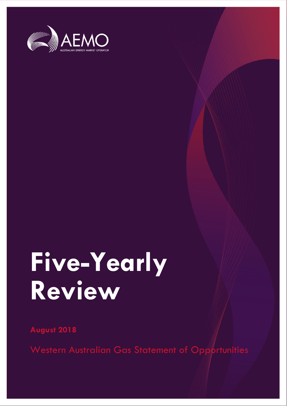

# **Five-Yearly Review**

**August 2018**

Western Australian Gas Statement of Opportunities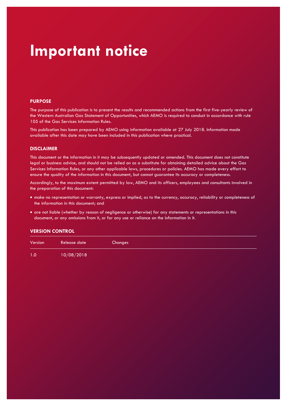### **Important notice**

#### **PURPOSE**

The purpose of this publication is to present the results and recommended actions from the first five-yearly review of the Western Australian Gas Statement of Opportunities, which AEMO is required to conduct in accordance with rule 105 of the Gas Services Information Rules.

This publication has been prepared by AEMO using information available at 27 July 2018. Information made available after this date may have been included in this publication where practical.

#### **DISCLAIMER**

This document or the information in it may be subsequently updated or amended. This document does not constitute legal or business advice, and should not be relied on as a substitute for obtaining detailed advice about the Gas Services Information Rules, or any other applicable laws, procedures or policies. AEMO has made every effort to ensure the quality of the information in this document, but cannot guarantee its accuracy or completeness.

Accordingly, to the maximum extent permitted by law, AEMO and its officers, employees and consultants involved in the preparation of this document:

- make no representation or warranty, express or implied, as to the currency, accuracy, reliability or completeness of the information in this document; and
- are not liable (whether by reason of negligence or otherwise) for any statements or representations in this document, or any omissions from it, or for any use or reliance on the information in it.

#### **VERSION CONTROL**

| Version | Release date | Changes |  |  |
|---------|--------------|---------|--|--|
| 1.0     | 10/08/2018   |         |  |  |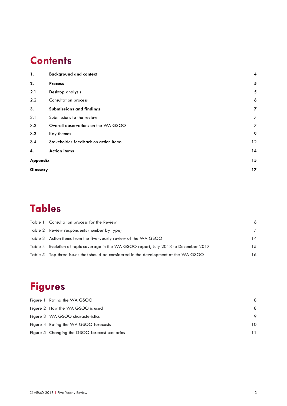### **Contents**

| 1.       | <b>Background and context</b>        | 4  |
|----------|--------------------------------------|----|
| 2.       | <b>Process</b>                       | 5  |
| 2.1      | Desktop analysis                     | 5  |
| 2.2      | <b>Consultation process</b>          | 6  |
| 3.       | Submissions and findings             | 7  |
| 3.1      | Submissions to the review            | 7  |
| 3.2      | Overall observations on the WA GSOO  | 7  |
| 3.3      | Key themes                           | 9  |
| 3.4      | Stakeholder feedback on action items | 12 |
| 4.       | <b>Action items</b>                  | 14 |
| Appendix |                                      | 15 |
| Glossary |                                      | 17 |

### **Tables**

| Table 1 Consultation process for the Review                                           | 6              |
|---------------------------------------------------------------------------------------|----------------|
| Table 2 Review respondents (number by type)                                           | $\overline{7}$ |
| Table 3 Action items from the five-yearly review of the WA GSOO                       | 14             |
| Table 4 Evolution of topic coverage in the WA GSOO report, July 2013 to December 2017 | 15             |
| Table 5 Top three issues that should be considered in the development of the WA GSOO  | 16             |

### **Figures**

| Figure 1 Rating the WA GSOO                   | 8       |
|-----------------------------------------------|---------|
| Figure 2 How the WA GSOO is used              | 8       |
| Figure 3 WA GSOO characteristics              | $\circ$ |
| Figure 4 Rating the WA GSOO forecasts         | 10      |
| Figure 5 Changing the GSOO forecast scenarios |         |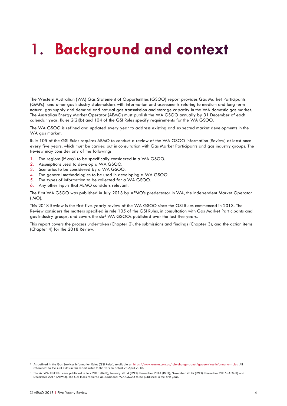### <span id="page-3-0"></span>**Background and context** 1.

The Western Australian (WA) Gas Statement of Opportunities (GSOO) report provides Gas Market Participants (GMPs)<sup>1</sup> and other gas industry stakeholders with information and assessments relating to medium and long term natural gas supply and demand and natural gas transmission and storage capacity in the WA domestic gas market. The Australian Energy Market Operator (AEMO) must publish the WA GSOO annually by 31 December of each calendar year. Rules 2(2)(b) and 104 of the GSI Rules specify requirements for the WA GSOO.

The WA GSOO is refined and updated every year to address existing and expected market developments in the WA gas market.

Rule 105 of the GSI Rules requires AEMO to conduct a review of the WA GSOO information (Review) at least once every five years, which must be carried out in consultation with Gas Market Participants and gas industry groups. The Review may consider any of the following:

- 1. The regions (if any) to be specifically considered in a WA GSOO.
- 2. Assumptions used to develop a WA GSOO.
- 3. Scenarios to be considered by a WA GSOO.
- 4. The general methodologies to be used in developing a WA GSOO.
- 5. The types of information to be collected for a WA GSOO.
- 6. Any other inputs that AEMO considers relevant.

The first WA GSOO was published in July 2013 by AEMO's predecessor in WA, the Independent Market Operator (IMO).

This 2018 Review is the first five-yearly review of the WA GSOO since the GSI Rules commenced in 2013. The Review considers the matters specified in rule 105 of the GSI Rules, in consultation with Gas Market Participants and gas industry groups, and covers the six<sup>2</sup> WA GSOOs published over the last five years.

This report covers the process undertaken (Chapter 2), the submissions and findings (Chapter 3), and the action items (Chapter 4) for the 2018 Review.

<sup>&</sup>lt;sup>1</sup> As defined in the Gas Services Information Rules (GSI Rules), available at: <u>https://www.erawa.com.au/rule-change-panel/gas-services-information-rules</u>. All references to the GSI Rules in this report refer to the version dated 28 April 2018.

<sup>2</sup> The six WA GSOOs were published in July 2013 (IMO), January 2014 (IMO), December 2014 (IMO), November 2015 (IMO), December 2016 (AEMO) and December 2017 (AEMO). The GSI Rules required an additional WA GSOO to be published in the first year.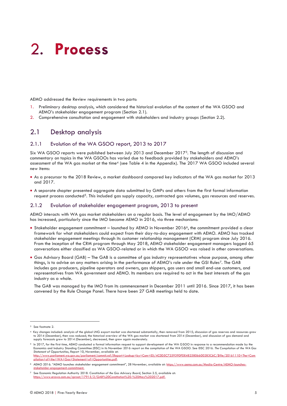## <span id="page-4-0"></span>2. Process

AEMO addressed the Review requirements in two parts:

- 1. Preliminary desktop analysis, which considered the historical evolution of the content of the WA GSOO and AEMO's stakeholder engagement program (Section 2.1).
- <span id="page-4-1"></span>2. Comprehensive consultation and engagement with stakeholders and industry groups (Section 2.2).

#### 2.1 Desktop analysis

#### 2.1.1 Evolution of the WA GSOO report, 2013 to 2017

Six WA GSOO reports were published between July 2013 and December 20173. The length of discussion and commentary on topics in the WA GSOOs has varied due to feedback provided by stakeholders and AEMO's assessment of the WA gas market at the time<sup>4</sup> (see Table 4 in the Appendix). The 2017 WA GSOO included several new items:

- As a precursor to the 2018 Review, a market dashboard compared key indicators of the WA gas market for 2013 and 2017.
- A separate chapter presented aggregate data submitted by GMPs and others from the first formal information request process conducted<sup>5</sup>. This included gas supply capacity, contracted gas volumes, gas resources and reserves.

#### 2.1.2 Evolution of stakeholder engagement program, 2013 to present

AEMO interacts with WA gas market stakeholders on a regular basis. The level of engagement by the IMO/AEMO has increased, particularly since the IMO became AEMO in 2016, via three mechanisms:

- Stakeholder engagement commitment launched by AEMO in November 20166, the commitment provided a clear framework for what stakeholders could expect from their day-to-day engagement with AEMO. AEMO has tracked stakeholder engagement meetings through its customer relationship management (CRM) program since July 2016. From the inception of the CRM program through May 2018, AEMO stakeholder engagement managers logged 65 conversations either classified as WA GSOO-related or in which the WA GSOO was raised in other conversations.
- Gas Advisory Board (GAB) The GAB is a committee of gas industry representatives whose purpose, among other things, is to advise on any matters arising in the performance of AEMO's role under the GSI Rules7. The GAB includes gas producers, pipeline operators and owners, gas shippers, gas users and small end-use customers, and representatives from WA government and AEMO. Its members are required to act in the best interests of the gas industry as a whole.

The GAB was managed by the IMO from its commencement in December 2011 until 2016. Since 2017, it has been convened by the Rule Change Panel. There have been 27 GAB meetings held to date.

<sup>3</sup> See footnote 2.

<sup>4</sup> Key changes included: analysis of the global LNG export market was shortened substantially, then removed from 2015; discussion of gas reserves and resources grew to 2014 (December), then was reduced; the historical overview of the WA gas market was shortened from 2014 (December), and discussion of gas demand and supply forecasts grew to 2014 (December), decreased, then grew again moderately.

h 2017, for the first time, AEMO conducted a formal information request to support development of the WA GSOO in response to a recommendation made by the<br>Economics and Industry Standing Committee (EISC) in its November 201 *Statement of Opportunities*, Report 10, November, available at: [http://www.parliament.wa.gov.au/parliament/commit.nsf/\(Report+Lookup+by+Com+ID\)/4C0D5C725939DFDE4825806600283C6C/\\$file/20161110+The+Com](http://www.parliament.wa.gov.au/parliament/commit.nsf/(Report+Lookup+by+Com+ID)/4C0D5C725939DFDE4825806600283C6C/$file/20161110+The+Compilation+of+the+WA+Gas+Statement+of+Opportunities.pdf)

[pilation+of+the+WA+Gas+Statement+of+Opportunities.pdf.](http://www.parliament.wa.gov.au/parliament/commit.nsf/(Report+Lookup+by+Com+ID)/4C0D5C725939DFDE4825806600283C6C/$file/20161110+The+Compilation+of+the+WA+Gas+Statement+of+Opportunities.pdf)  <sup>6</sup> AEMO 2016. "AEMO launches stakeholder engagement commitment", 28 November, available at: [https://www.aemo.com.au/Media-Centre/AEMO-launches-](https://www.aemo.com.au/Media-Centre/AEMO-launches-stakeholder-engagement-commitment)

[stakeholder-engagement-commitment.](https://www.aemo.com.au/Media-Centre/AEMO-launches-stakeholder-engagement-commitment)

<sup>7</sup> See Economic Regulation Authority 2018. *Constitution of the Gas Advisory Board*, Section 2.5, available at: [https://www.erawa.com.au/cproot/17915/2/GAB%20Constitution%20-%20May%202017.pdf.](https://www.erawa.com.au/cproot/17915/2/GAB%20Constitution%20-%20May%202017.pdf)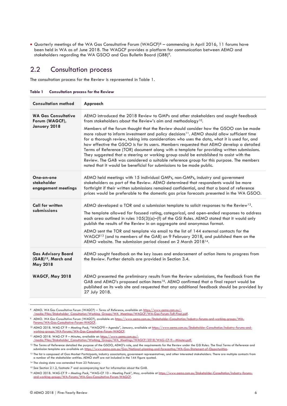• Quarterly meetings of the WA Gas Consultative Forum (WAGCF)<sup>8</sup> – commencing in April 2016, 11 forums have been held in WA as of June 2018. The WAGCF provides a platform for communication between AEMO and stakeholders regarding the WA GSOO and Gas Bulletin Board (GBB)9.

#### <span id="page-5-0"></span>2.2 Consultation process

The consultation process for the Review is represented in Table 1.

<span id="page-5-1"></span>

| Table 1 | <b>Consultation process for the Review</b> |  |  |  |  |
|---------|--------------------------------------------|--|--|--|--|
|---------|--------------------------------------------|--|--|--|--|

| <b>Consultation method</b>                                                      | Approach                                                                                                                                                                                                                                                                                                                                                                                                                                                                                                                                                                                                                                                                                                                                                                                                                                                                                                                   |  |  |  |
|---------------------------------------------------------------------------------|----------------------------------------------------------------------------------------------------------------------------------------------------------------------------------------------------------------------------------------------------------------------------------------------------------------------------------------------------------------------------------------------------------------------------------------------------------------------------------------------------------------------------------------------------------------------------------------------------------------------------------------------------------------------------------------------------------------------------------------------------------------------------------------------------------------------------------------------------------------------------------------------------------------------------|--|--|--|
| <b>WA Gas Consultative</b><br>Forum (WAGCF),<br>January 2018                    | AEMO introduced the 2018 Review to GMPs and other stakeholders and sought feedback<br>from stakeholders about the Review's aim and methodology <sup>10</sup> .<br>Members of the forum thought that the Review should consider how the GSOO can be made<br>more robust to inform investment and policy decisions <sup>11</sup> . AEMO should allow sufficient time<br>for a thorough review, taking into consideration: who uses the data, what it is used for, and<br>how effective the GSOO is for its users. Members requested that AEMO develop a detailed<br>Terms of Reference (TOR) document along with a template for providing written submissions.<br>They suggested that a steering or working group could be established to assist with the<br>Review. The GAB was considered a suitable reference group for this purpose. The members<br>noted that it would be beneficial for submissions to be made public. |  |  |  |
| One-on-one<br>stakeholder<br>engagement meetings                                | AEMO held meetings with 15 individual GMPs, non-GMPs, industry and government<br>stakeholders as part of the Review. AEMO determined that respondents would be more<br>forthright if their written submissions remained confidential, and that a band of reference<br>prices would be preferable to the domestic gas price forecasts presented in the WA GSOO.                                                                                                                                                                                                                                                                                                                                                                                                                                                                                                                                                             |  |  |  |
| <b>Call for written</b><br>submissions                                          | AEMO developed a TOR and a submission template to solicit responses to the Review <sup>12</sup> .<br>The template allowed for focused rating, categorical, and open-ended responses to address<br>each area outlined in rules 105(3)(a)-(f) of the GSI Rules. AEMO stated that it would only<br>publish the results of the Review in an aggregate and anonymous format.<br>AEMO sent the TOR and template via email to the list of 144 external contacts for the<br>WAGCF <sup>13</sup> (and to members of the GAB) on 9 February 2018, and published them on the<br>AEMO website. The submission period closed on 2 March 2018 <sup>14</sup> .                                                                                                                                                                                                                                                                            |  |  |  |
| <b>Gas Advisory Board</b><br>(GAB) <sup>15</sup> , March and<br><b>May 2018</b> | AEMO sought feedback on the key issues and endorsement of action items to progress from<br>the Review. Further details are provided in Section 3.4.                                                                                                                                                                                                                                                                                                                                                                                                                                                                                                                                                                                                                                                                                                                                                                        |  |  |  |
| <b>WAGCF, May 2018</b>                                                          | AEMO presented the preliminary results from the Review submissions, the feedback from the<br>GAB and AEMO's proposed action items <sup>16</sup> . AEMO confirmed that a final report would be<br>published on its web site and requested that any additional feedback should be provided by<br>27 July 2018.                                                                                                                                                                                                                                                                                                                                                                                                                                                                                                                                                                                                               |  |  |  |

<sup>8</sup> AEMO. *WA Gas Consultative Forum (WAGCF) – Terms of Reference*, available at[: https://www.aemo.com.au/-](https://www.aemo.com.au/-/media/Files/Stakeholder_Consultation/Working_Groups/WA_Meetings/WAGCF/WA-Gas-Forum-ToR-Final.pdf)

nsultation/Working\_Groups/WA\_Meetings/WAGCF/WA-Gas-Forum-ToR-Final.pdf.

<sup>9</sup> AEMO. *WA Gas Consultative Forum (WAGCF)*, available at: [https://www.aemo.com.au/Stakeholder-Consultation/Industry-forums-and-working-groups/WA-](https://www.aemo.com.au/Stakeholder-Consultation/Industry-forums-and-working-groups/WA-Forums/WA-Gas-Consultative-Forum-WAGCF)[Forums/WA-Gas-Consultative-Forum-WAGCF.](https://www.aemo.com.au/Stakeholder-Consultation/Industry-forums-and-working-groups/WA-Forums/WA-Gas-Consultative-Forum-WAGCF) 

<sup>10</sup> AEMO 2018. *WAG-CF 9 – Meeting Pack*, "WAGCF9 – Agenda", January, available at [https://www.aemo.com.au/Stakeholder-Consultation/Industry-forums-and](https://www.aemo.com.au/Stakeholder-Consultation/Industry-forums-and-working-groups/WA-Forums/WA-Gas-Consultative-Forum-WAGCF)[working-groups/WA-Forums/WA-Gas-Consultative-Forum-WAGCF.](https://www.aemo.com.au/Stakeholder-Consultation/Industry-forums-and-working-groups/WA-Forums/WA-Gas-Consultative-Forum-WAGCF) 

<sup>&</sup>lt;sup>11</sup> AEMO 2018. WAG-CF 9 - Minutes, available at: https://www.aemo. [/media/Files/Stakeholder\\_Consultation/Working\\_Groups/WA\\_Meetings/WAGCF/2018/WAG-CF-9---Minutes.pdf.](https://www.aemo.com.au/-/media/Files/Stakeholder_Consultation/Working_Groups/WA_Meetings/WAGCF/2018/WAG-CF-9---Minutes.pdf)

<sup>&</sup>lt;sup>12</sup> The Terms of Reference detailed the purpose of the GSOO, AEMO's role, and the requirements for the Review under the GSI Rules. The final Terms of Reference and submission template are available at[: https://www.aemo.com.au/Gas/National-planning-and-forecasting/WA-Gas-Statement-of-Opportunities.](https://www.aemo.com.au/Gas/National-planning-and-forecasting/WA-Gas-Statement-of-Opportunities) 

<sup>&</sup>lt;sup>13</sup> The list is composed of Gas Market Participants, industry associations, government representatives, and other interested stakeholders. There are multiple contacts from a number of the stakeholder entities. AEMO staff are not included in the 144 figure quoted.

<sup>14</sup> The closing date was extended from 23 February.

<sup>&</sup>lt;sup>15</sup> See Section 2.1.2, footnote 7 and accompanying text for information about the GAB.

<sup>16</sup> AEMO 2018. *WAG-CF 9 – Meeting Pack*, "WAG-CF 10 – Meeting Pack", May, available at [https://www.aemo.com.au/Stakeholder-Consultation/Industry-forums](https://www.aemo.com.au/Stakeholder-Consultation/Industry-forums-and-working-groups/WA-Forums/WA-Gas-Consultative-Forum-WAGCF)[and-working-groups/WA-Forums/WA-Gas-Consultative-Forum-WAGCF.](https://www.aemo.com.au/Stakeholder-Consultation/Industry-forums-and-working-groups/WA-Forums/WA-Gas-Consultative-Forum-WAGCF)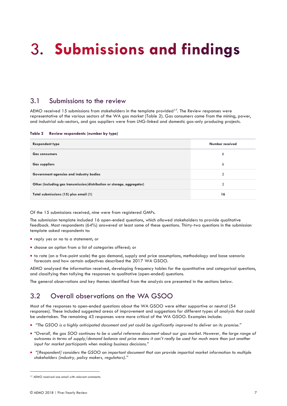## <span id="page-6-0"></span>3. Submissions and findings

#### <span id="page-6-1"></span>3.1 Submissions to the review

AEMO received 15 submissions from stakeholders in the template provided<sup>17</sup>. The Review responses were representative of the various sectors of the WA gas market (Table 2). Gas consumers came from the mining, power, and industrial sub-sectors, and gas suppliers were from LNG-linked and domestic gas-only producing projects.

<span id="page-6-3"></span>**Table 2 Review respondents (number by type)**

| <b>Respondent type</b>                                                 | Number received |
|------------------------------------------------------------------------|-----------------|
| <b>Gas consumers</b>                                                   | 6               |
| <b>Gas suppliers</b>                                                   | 6               |
| Government agencies and industry bodies                                | $\mathcal{P}$   |
| Other (including gas transmission/distribution or storage, aggregator) | $\mathcal{P}$   |
| Total submissions (15) plus email (1)                                  | 16              |

Of the 15 submissions received, nine were from registered GMPs.

The submission template included 16 open-ended questions, which allowed stakeholders to provide qualitative feedback. Most respondents (64%) answered at least some of these questions. Thirty-two questions in the submission template asked respondents to:

- reply yes or no to a statement; or
- choose an option from a list of categories offered; or
- to rate (on a five-point scale) the gas demand, supply and price assumptions, methodology and base scenario forecasts and how certain adjectives described the 2017 WA GSOO.

AEMO analysed the information received, developing frequency tables for the quantitative and categorical questions, and classifying then tallying the responses to qualitative (open-ended) questions.

The general observations and key themes identified from the analysis are presented in the sections below.

#### <span id="page-6-2"></span>3.2 Overall observations on the WA GSOO

Most of the responses to open-ended questions about the WA GSOO were either supportive or neutral (54 responses). These included suggested areas of improvement and suggestions for different types of analysis that could be undertaken. The remaining 43 responses were more critical of the WA GSOO. Examples include:

- *"The GSOO is a highly anticipated document and yet could be significantly improved to deliver on its promise."*
- *"Overall, the gas SOO continues to be a useful reference document about our gas market. However, the large range of outcomes in terms of supply/demand balance and price means it can't really be used for much more than just another input for market participants when making business decisions."*
- *"[Respondent] considers the GSOO an important document that can provide impartial market information to multiple stakeholders (industry, policy makers, regulators)."*

<sup>&</sup>lt;sup>17</sup> AEMO received one email with relevant comments.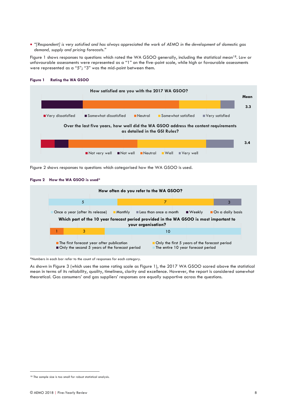• *"[Respondent] is very satisfied and has always appreciated the work of AEMO in the development of domestic gas demand, supply and pricing forecasts."*

[Figure 1](#page-7-0) shows responses to questions which rated the WA GSOO generally, including the statistical mean<sup>18</sup>. Low or unfavourable assessments were represented as a "1" on the five-point scale, while high or favourable assessments were represented as a "5"; "3" was the mid-point between them.



#### <span id="page-7-0"></span>**Figure 1 Rating the WA GSOO**

<span id="page-7-1"></span>**Figure 2 How the WA GSOO is used\*** 



\*Numbers in each bar refer to the count of responses for each category.

As shown in Figure 3 (which uses the same rating scale as Figure 1), the 2017 WA GSOO scored above the statistical mean in terms of its reliability, quality, timeliness, clarity and excellence. However, the report is considered somewhat theoretical. Gas consumers' and gas suppliers' responses are equally supportive across the questions.

Figure 2 shows responses to questions which categorised how the WA GSOO is used.

<sup>18</sup> The sample size is too small for robust statistical analysis.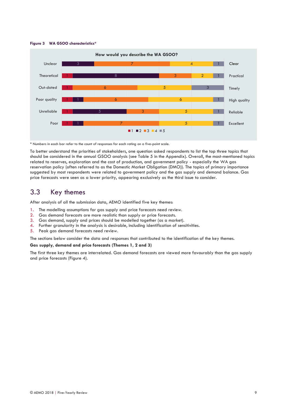<span id="page-8-1"></span>



\* Numbers in each bar refer to the count of responses for each rating on a five-point scale.

To better understand the priorities of stakeholders, one question asked respondents to list the top three topics that should be considered in the annual GSOO analysis (see [Table 5](#page-15-0) in the Appendix). Overall, the most-mentioned topics related to reserves, exploration and the cost of production, and government policy - especially the WA gas reservation policy (often referred to as the Domestic Market Obligation (DMO)). The topics of primary importance suggested by most respondents were related to government policy and the gas supply and demand balance. Gas price forecasts were seen as a lower priority, appearing exclusively as the third issue to consider.

#### <span id="page-8-0"></span>3.3 Key themes

After analysis of all the submission data, AEMO identified five key themes:

- 1. The modelling assumptions for gas supply and price forecasts need review.
- 2. Gas demand forecasts are more realistic than supply or price forecasts.
- 3. Gas demand, supply and prices should be modelled together (as a market).
- 4. Further granularity in the analysis is desirable, including identification of sensitivities.
- 5. Peak gas demand forecasts need review.

The sections below consider the data and responses that contributed to the identification of the key themes.

#### **Gas supply, demand and price forecasts (Themes 1, 2 and 3)**

The first three key themes are interrelated. Gas demand forecasts are viewed more favourably than the gas supply and price forecasts (Figure 4).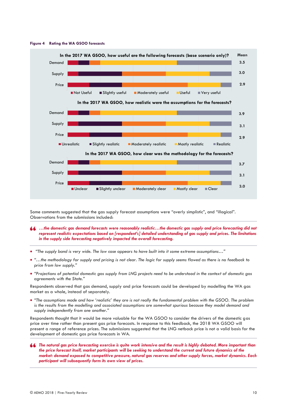

#### <span id="page-9-0"></span>**Figure 4 Rating the WA GSOO forecasts**

Some comments suggested that the gas supply forecast assumptions were "overly simplistic", and "illogical". Observations from the submissions included:

- *…the domestic gas demand forecasts were reasonably realistic…the domestic gas supply and price forecasting did not represent realistic expectations based on [respondent's] detailed understanding of gas supply and prices. The limitations in the supply side forecasting negatively impacted the overall forecasting.*
- *"The supply band is very wide. The low case appears to have built into it some extreme assumptions…"*
- *"…the methodology for supply and pricing is not clear. The logic for supply seems flawed as there is no feedback to price from low supply."*
- *"Projections of potential domestic gas supply from LNG projects need to be understood in the context of domestic gas agreements with the State."*

Respondents observed that gas demand, supply and price forecasts could be developed by modelling the WA gas market as a whole, instead of separately.

• *"The assumptions made and how 'realistic' they are is not really the fundamental problem with the GSOO. The problem is the results from the modelling and associated assumptions are somewhat spurious because they model demand and supply independently from one another."*

Respondents thought that it would be more valuable for the WA GSOO to consider the drivers of the domestic gas price over time rather than present gas price forecasts. In response to this feedback, the 2018 WA GSOO will present a range of reference prices. The submissions suggested that the LNG netback price is not a valid basis for the development of domestic gas price forecasts in WA.

*The natural gas price forecasting exercise is quite work intensive and the result is highly debated. More important than the price forecast itself, market participants will be seeking to understand the current and future dynamics of the market: demand exposed to competitive pressure, natural gas reserves and other supply forces, market dynamics. Each participant will subsequently form its own view of prices.*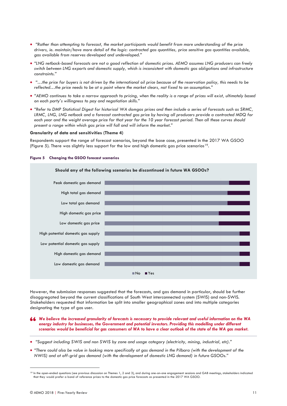- *"Rather than attempting to forecast, the market participants would benefit from more understanding of the price drivers, ie. maintain/have more detail of the logic: contracted gas quantities, price sensitive gas quantities available, gas available from reserves developed and undeveloped."*
- *"LNG netback-based forecasts are not a good reflection of domestic prices. AEMO assumes LNG producers can freely switch between LNG exports and domestic supply, which is inconsistent with domestic gas obligations and infrastructure constraints."*
- *"…the price for buyers is not driven by the international oil price because of the reservation policy, this needs to be reflected…the price needs to be at a point where the market clears, not fixed to an assumption."*
- *"AEMO continues to take a narrow approach to pricing, when the reality is a range of prices will exist, ultimately based on each party's willingness to pay and negotiation skills."*
- *"Refer to DMP Statistical Digest for historical WA domgas prices and then include a series of forecasts such as SRMC, LRMC, LNG, LNG netback and a forecast contracted gas price by having all producers provide a contracted MDQ for each year and the weight average price for that year for the 10 year forecast period. Then all these curves should present a range within which gas price will fall and will inform the market."*

#### **Granularity of data and sensitivities (Theme 4)**

Respondents support the range of forecast scenarios, beyond the base case, presented in the 2017 WA GSOO (Figure 5). There was slightly less support for the low and high domestic gas price scenarios<sup>19</sup>.

#### <span id="page-10-0"></span>**Figure 5 Changing the GSOO forecast scenarios**

### **Should any of the following scenarios be discontinued in future WA GSOOs?** Low domestic gas demand High domestic gas demand Low potential domestic gas supply High potential domestic gas supply Low domestic gas price High domestic gas price Low total gas demand High total gas demand Peak domestic gas demand No Yes

However, the submission responses suggested that the forecasts, and gas demand in particular, should be further disaggregated beyond the current classifications of South West interconnected system (SWIS) and non-SWIS. Stakeholders requested that information be split into smaller geographical zones and into multiple categories designating the type of gas user.

- *We believe the increased granularity of forecasts is necessary to provide relevant and useful information on the WA*  energy industry for businesses, the Government and potential investors. Providing this modelling under different *scenarios would be beneficial for gas consumers of WA to have a clear outlook of the state of the WA gas market.*
- *"Suggest including SWIS and non SWIS by zone and usage category (electricity, mining, industrial, etc)."*
- *"There could also be value in looking more specifically at gas demand in the Pilbara (with the development of the NWIS) and at off-grid gas demand (with the development of domestic LNG demand) in future GSOOs."*

<sup>&</sup>lt;sup>19</sup> In the open-ended questions (see previous discussion on Themes 1, 2 and 3), and during one-on-one engagement sessions and GAB meetings, stakeholders indicated that they would prefer a band of reference prices to the domestic gas price forecasts as presented in the 2017 WA GSOO.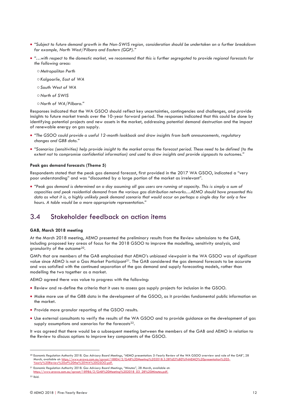- *"Subject to future demand growth in the Non-SWIS region, consideration should be undertaken on a further breakdown for example, North West/Pilbara and Eastern (GGP)."*
- *"…with respect to the domestic market, we recommend that this is further segregated to provide regional forecasts for the following areas:*
	- ○*Metropolitan Perth*
	- ○*Kalgoorlie, East of WA*
	- ○*South West of WA*
	- ○*North of SWIS*
	- ○*North of WA/Pilbara."*

Responses indicated that the WA GSOO should reflect key uncertainties, contingencies and challenges, and provide insights to future market trends over the 10-year forward period. The responses indicated that this could be done by identifying potential projects and new assets in the market, addressing potential demand destruction and the impact of renewable energy on gas supply.

- *"The GSOO could provide a useful 12-month lookback and draw insights from both announcements, regulatory changes and GBB data."*
- *"Scenarios (sensitivities) help provide insight to the market across the forecast period. These need to be defined (to the extent not to compromise confidential information) and used to draw insights and provide signposts to outcomes."*

#### **Peak gas demand forecasts (Theme 5)**

Respondents stated that the peak gas demand forecast, first provided in the 2017 WA GSOO, indicated a "very poor understanding" and was "discounted by a large portion of the market as irrelevant".

• *"Peak gas demand is determined on a day assuming all gas users are running at capacity. This is simply a sum of capacities and peak residential demand from the various gas distribution networks…AEMO should have presented this data as what it is, a highly unlikely peak demand scenario that would occur on perhaps a single day for only a few hours. A table would be a more appropriate representation."*

#### <span id="page-11-0"></span>3.4 Stakeholder feedback on action items

#### **GAB, March 2018 meeting**

At the March 2018 meeting, AEMO presented the preliminary results from the Review submissions to the GAB, including proposed key areas of focus for the 2018 GSOO to improve the modelling, sensitivity analysis, and granularity of the outcome20.

GMPs that are members of the GAB emphasised that AEMO's unbiased viewpoint in the WA GSOO was of significant value since AEMO is not a Gas Market Participant<sup>21</sup>. The GAB considered the gas demand forecasts to be accurate and was satisfied with the continued separation of the gas demand and supply forecasting models, rather than modelling the two together as a market.

AEMO agreed there was value to progress with the following:

- Review and re-define the criteria that it uses to assess gas supply projects for inclusion in the GSOO.
- Make more use of the GBB data in the development of the GSOO, as it provides fundamental public information on the market.
- Provide more granular reporting of the GSOO results.
- Use external consultants to verify the results of the WA GSOO and to provide guidance on the development of gas supply assumptions and scenarios for the forecasts<sup>22</sup>.

It was agreed that there would be a subsequent meeting between the members of the GAB and AEMO in relation to the Review to discuss options to improve key components of the GSOO.

<sup>20</sup> Economic Regulation Authority 2018. *Gas Advisory Board Meetings*, "AEMO presentation: 5-Yearly Review of the WA GSOO overview and role of the GAB", 28 March, available at: https://www.erawa.com.au/cproot/18804/2/GAB%20Meeting%202018.3.28%E2%80%94AEMO%20presentation%205 [Yearly%20Review%20of%20the%20WA%20GSOO.pdf.](https://www.erawa.com.au/cproot/18804/2/GAB%20Meeting%202018.3.28%E2%80%94AEMO%20presentation%205-Yearly%20Review%20of%20the%20WA%20GSOO.pdf)

<sup>21</sup> Economic Regulation Authority 2018. *Gas Advisory Board Meetings*, "Minutes", 28 March, available at: [https://www.erawa.com.au/cproot/18986/2/GAB%20Meeting%202018\\_03\\_28%20Minutes.pdf.](https://www.erawa.com.au/cproot/18986/2/GAB%20Meeting%202018_03_28%20Minutes.pdf)

<sup>22</sup> Ibid.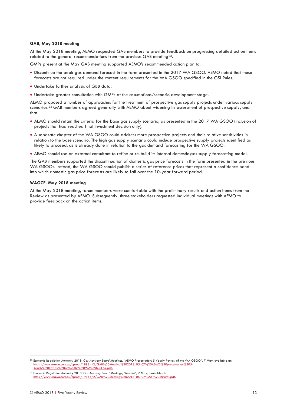#### **GAB, May 2018 meeting**

At the May 2018 meeting, AEMO requested GAB members to provide feedback on progressing detailed action items related to the general recommendations from the previous GAB meeting<sup>23</sup>.

GMPs present at the May GAB meeting supported AEMO's recommended action plan to:

- Discontinue the peak gas demand forecast in the form presented in the 2017 WA GSOO. AEMO noted that these forecasts are not required under the content requirements for the WA GSOO specified in the GSI Rules.
- Undertake further analysis of GBB data.
- Undertake greater consultation with GMPs at the assumptions/scenario development stage.

AEMO proposed a number of approaches for the treatment of prospective gas supply projects under various supply scenarios.<sup>24</sup> GAB members agreed generally with AEMO about widening its assessment of prospective supply, and that:

- AEMO should retain the criteria for the base gas supply scenario, as presented in the 2017 WA GSOO (inclusion of projects that had reached final investment decision only).
- A separate chapter of the WA GSOO could address more prospective projects and their relative sensitivities in relation to the base scenario. The high gas supply scenario could include prospective supply projects identified as likely to proceed, as is already done in relation to the gas demand forecasting for the WA GSOO.
- AEMO should use an external consultant to refine or re-build its internal domestic gas supply forecasting model.

The GAB members supported the discontinuation of domestic gas price forecasts in the form presented in the previous WA GSOOs. Instead, the WA GSOO should publish a series of reference prices that represent a confidence band into which domestic gas price forecasts are likely to fall over the 10-year forward period.

#### **WAGCF, May 2018 meeting**

At the May 2018 meeting, forum members were comfortable with the preliminary results and action items from the Review as presented by AEMO. Subsequently, three stakeholders requested individual meetings with AEMO to provide feedback on the action items.

<sup>23</sup> Economic Regulation Authority 2018, *Gas Advisory Board Meetings*, "AEMO Presentation: 5-Yearly Review of the WA GSOO", 7 May, available at: [https://www.erawa.com.au/cproot/18984/2/GAB%20Meeting%202018\\_05\\_07%20AEMO%20presentation%205-](https://www.erawa.com.au/cproot/18984/2/GAB%20Meeting%202018_05_07%20AEMO%20presentation%205-Yearly%20Review%20of%20the%20WA%20GSOO.pdf) [Yearly%20Review%20of%20the%20WA%20GSOO.pdf.](https://www.erawa.com.au/cproot/18984/2/GAB%20Meeting%202018_05_07%20AEMO%20presentation%205-Yearly%20Review%20of%20the%20WA%20GSOO.pdf)

<sup>24</sup> Economic Regulation Authority 2018, *Gas Advisory Board Meetings*, "Minutes", 7 May, available at: https://www.erawa.com.au/cproot/19145/2/GAB%20Meeting%202018\_05\_07%20-%20Minutes.pdf.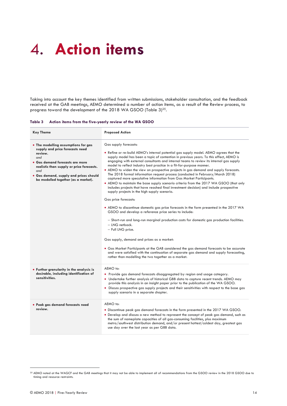## <span id="page-13-0"></span>4. Action items

Taking into account the key themes identified from written submissions, stakeholder consultation, and the feedback received at the GAB meetings, AEMO determined a number of action items, as a result of the Review process, to progress toward the development of the 2018 WA GSOO (Table 3)<sup>25</sup>.

#### <span id="page-13-1"></span>**Table 3 Action items from the five-yearly review of the WA GSOO**

| <b>Key Theme</b>                                                                                                                                                                                                                                                 | <b>Proposed Action</b>                                                                                                                                                                                                                                                                                                                                                                                                                                                                                                                                                                                                                                                                                                                                                                                                                                                                                                                                                                                                                                                                                                                                                                                                                                                                                                                                                                                                                                                      |
|------------------------------------------------------------------------------------------------------------------------------------------------------------------------------------------------------------------------------------------------------------------|-----------------------------------------------------------------------------------------------------------------------------------------------------------------------------------------------------------------------------------------------------------------------------------------------------------------------------------------------------------------------------------------------------------------------------------------------------------------------------------------------------------------------------------------------------------------------------------------------------------------------------------------------------------------------------------------------------------------------------------------------------------------------------------------------------------------------------------------------------------------------------------------------------------------------------------------------------------------------------------------------------------------------------------------------------------------------------------------------------------------------------------------------------------------------------------------------------------------------------------------------------------------------------------------------------------------------------------------------------------------------------------------------------------------------------------------------------------------------------|
| • The modelling assumptions for gas<br>supply and price forecasts need<br>review.<br>and<br>• Gas demand forecasts are more<br>realistic than supply or price forecasts.<br>and<br>· Gas demand, supply and prices should<br>be modelled together (as a market). | Gas supply forecasts:<br>• Refine or re-build AEMO's internal potential gas supply model. AEMO agrees that the<br>supply model has been a topic of contention in previous years. To this effect, AEMO is<br>engaging with external consultants and internal teams to review its internal gas supply<br>model to reflect industry best practice in a fit-for-purpose manner.<br>• AEMO to widen the view on prospective projects in gas demand and supply forecasts.<br>The 2018 formal information request process (conducted in February/March 2018)<br>captured more speculative information from Gas Market Participants.<br>• AEMO to maintain the base supply scenario criteria from the 2017 WA GSOO (that only<br>includes projects that have reached final investment decision) and include prospective<br>supply projects in the high supply scenario.<br>Gas price forecasts:<br>• AEMO to discontinue domestic gas price forecasts in the form presented in the 2017 WA<br>GSOO and develop a reference price series to include:<br>- Short-run and long-run marginal production costs for domestic gas production facilities.<br>- LNG netback.<br>- Full LNG price.<br>Gas supply, demand and prices as a market:<br>• Gas Market Participants at the GAB considered the gas demand forecasts to be accurate<br>and were satisfied with the continuation of separate gas demand and supply forecasting,<br>rather than modelling the two together as a market. |
| • Further granularity in the analysis is<br>desirable, including identification of<br>sensitivities.                                                                                                                                                             | AEMO to:<br>• Provide gas demand forecasts disaggregated by region and usage category.<br>• Undertake further analysis of historical GBB data to capture recent trends. AEMO may<br>provide this analysis in an insight paper prior to the publication of the WA GSOO.<br>• Discuss prospective gas supply projects and their sensitivities with respect to the base gas<br>supply scenario in a separate chapter.                                                                                                                                                                                                                                                                                                                                                                                                                                                                                                                                                                                                                                                                                                                                                                                                                                                                                                                                                                                                                                                          |
| · Peak gas demand forecasts need<br>review.                                                                                                                                                                                                                      | AEMO to:<br>• Discontinue peak gas demand forecasts in the form presented in the 2017 WA GSOO.<br>• Develop and discuss a new method to represent the concept of peak gas demand, such as<br>the sum of nameplate capacities of all gas-consuming facilities, plus maximum<br>metro/southwest distribution demand, and/or present hottest/coldest day, greatest gas<br>use day over the last year as per GBB data.                                                                                                                                                                                                                                                                                                                                                                                                                                                                                                                                                                                                                                                                                                                                                                                                                                                                                                                                                                                                                                                          |

<sup>25</sup> AEMO noted at the WAGCF and the GAB meetings that it may not be able to implement all of recommendations from the GSOO review in the 2018 GSOO due to timing and resource restraints.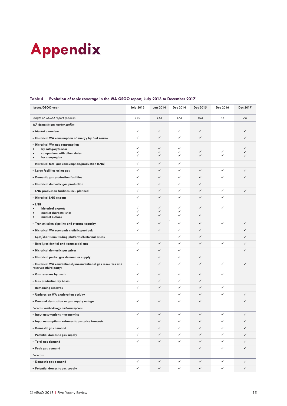## <span id="page-14-0"></span>**Appendix**

#### **Issues/GSOO year July 2013 Jan 2014 Dec 2014 Dec 2015 Dec 2016 Dec 2017** *Length of GSOO report (pages): 149 165 175 103 78 76 WA domestic gas market profile:* **– Market overview** ✓ ✓ ✓ ✓ ✓ **– Historical WA consumption of energy by fuel source** ✓ ✓ ✓ ✓ ✓ **– Historical WA gas consumption**  • **by category/sector** • **comparison with other states** • **by area/region** ✓  $\overline{a}$ ✓ ✓ ✓ ✓ ✓ ✓ ✓ ✓ ✓ ✓ ✓ ✓ ✓ ✓ **– Historical total gas consumption/production (LNG)** ✓ ✓ ✓ **– Large facilities using gas** ✓ ✓ ✓ ✓ ✓ ✓ **– Domestic gas production facilities** ✓ ✓ ✓ ✓ ✓ ✓ **– Historical domestic gas production** ✓ ✓ ✓ ✓ **– LNG production facilities incl. planned** ✓ ✓ ✓ ✓ ✓ ✓ **– Historical LNG exports** ✓ ✓ ✓ ✓ ✓ **– LNG**  • **historical exports** • **market characteristics** • **market outlook** ✓  $\overline{a}$ ✓ ✓ ✓ ✓ ✓ ✓ ✓ ✓ ✓ ✓ **– Transmission pipeline and storage capacity** ✓ ✓ ✓ ✓ ✓ ✓ **– Historical WA economic statistics/outlook** ✓ ✓ ✓ ✓ ✓ **– Spot/short-term trading platforms/historical prices** ✓ ✓ ✓ **– Retail/residential and commercial gas** ✓ ✓ ✓ ✓ ✓ ✓ **– Historical domestic gas prices** ✓ ✓ ✓ ✓ **– Historical peaks: gas demand or supply** ✓ ✓ ✓ **– Historical WA conventional/unconventional gas resources and reserves (third party)** ✓ ✓ ✓ ✓ ✓ ✓ **– Gas reserves by basin** ✓ ✓ ✓ ✓ ✓ **– Gas production by basin** ✓ ✓ ✓ ✓ **– Remaining reserves** ✓ ✓ ✓ ✓ ✓ **– Updates on WA exploration activity** ✓ ✓ ✓ ✓ **– Demand destruction or gas supply outage** ✓ ✓ ✓ ✓ ✓ *Forecast methodology and assumptions:* **– Input assumptions – economics** ✓ ✓ ✓ ✓ ✓ ✓ **– Input assumptions – domestic gas price forecasts** ✓ ✓ ✓ ✓ ✓ **– Domestic gas demand** ✓ ✓ ✓ ✓ ✓ ✓ **– Potential domestic gas supply** ✓ ✓ ✓ ✓ ✓ ✓ **– Total gas demand** ✓ ✓ ✓ ✓ ✓ ✓

#### <span id="page-14-1"></span>**Table 4 Evolution of topic coverage in the WA GSOO report, July 2013 to December 2017**

**– Peak gas demand** ✓ ✓ ✓ *Forecasts:* **– Domestic gas demand** ✓ ✓ ✓ ✓ ✓ ✓ **– Potential domestic gas supply** ✓ ✓ ✓ ✓ ✓ ✓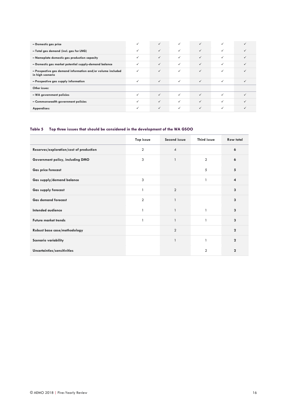| - Domestic gas price                                                            |              | $\checkmark$ | $\checkmark$ | $\checkmark$ | ✓            |   |
|---------------------------------------------------------------------------------|--------------|--------------|--------------|--------------|--------------|---|
| - Total gas demand (incl. gas for LNG)                                          | $\checkmark$ | $\checkmark$ | $\checkmark$ | $\checkmark$ | ✓            |   |
| - Nameplate domestic gas production capacity                                    | $\checkmark$ | $\checkmark$ | $\checkmark$ | $\checkmark$ | ✓            |   |
| - Domestic gas market potential supply-demand balance                           | $\checkmark$ | $\checkmark$ | $\checkmark$ | $\checkmark$ | ✓            |   |
| - Prospective gas demand information and/or volume included<br>in high scenario | $\checkmark$ | $\checkmark$ | $\checkmark$ | $\checkmark$ | ✓            |   |
| - Prospective gas supply information                                            | $\checkmark$ | $\checkmark$ | $\checkmark$ | $\checkmark$ | ✓            |   |
| Other issues:                                                                   |              |              |              |              |              |   |
| - WA government policies                                                        | $\checkmark$ | $\checkmark$ | $\checkmark$ | $\checkmark$ | ✓            | ✓ |
| - Commonwealth government policies                                              |              | $\checkmark$ | $\checkmark$ | $\checkmark$ | ✓            |   |
| Appendices:                                                                     | $\checkmark$ | $\checkmark$ | $\checkmark$ | $\checkmark$ | $\checkmark$ |   |

#### <span id="page-15-0"></span>**Table 5 Top three issues that should be considered in the development of the WA GSOO**

|                                         | Top issue      | Second issue   | <b>Third issue</b> | <b>Row total</b>    |
|-----------------------------------------|----------------|----------------|--------------------|---------------------|
| Reserves/exploration/cost of production | $\overline{2}$ | $\overline{4}$ |                    | $\ddot{\mathbf{6}}$ |
| Government policy, including DMO        | 3              | $\mathbf{1}$   | $\overline{2}$     | 6                   |
| <b>Gas price forecast</b>               |                |                | 5                  | 5                   |
| Gas supply/demand balance               | 3              |                | 1                  | 4                   |
| <b>Gas supply forecast</b>              |                | $\overline{2}$ |                    | 3                   |
| <b>Gas demand forecast</b>              | $\overline{2}$ | $\mathbf{1}$   |                    | 3                   |
| Intended audience                       | 1              | $\mathbf{1}$   |                    | 3                   |
| <b>Future market trends</b>             | 1              | $\mathbf{1}$   | $\mathbf{1}$       | 3                   |
| Robust base case/methodology            |                | $\overline{2}$ |                    | $\mathbf{2}$        |
| <b>Scenario variability</b>             |                | $\mathbf{1}$   | 1                  | $\mathbf{2}$        |
| Uncertainties/sensitivities             |                |                | $\overline{2}$     | $\mathbf{2}$        |